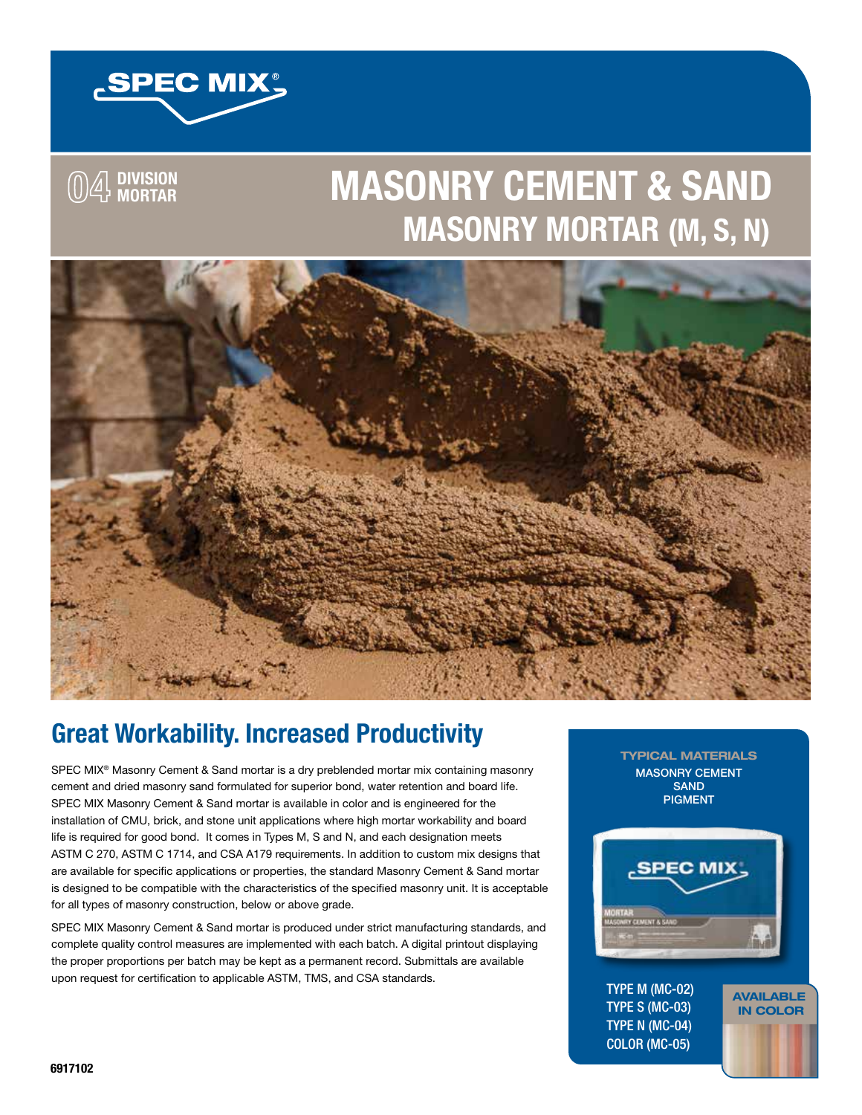

**04 DIVISION MORTAR**

**MASONRY CEMENT & SAND MASONRY MORTAR (M, S, N)**



# **Great Workability. Increased Productivity**

SPEC MIX<sup>®</sup> Masonry Cement & Sand mortar is a dry preblended mortar mix containing masonry cement and dried masonry sand formulated for superior bond, water retention and board life. SPEC MIX Masonry Cement & Sand mortar is available in color and is engineered for the installation of CMU, brick, and stone unit applications where high mortar workability and board life is required for good bond. It comes in Types M, S and N, and each designation meets ASTM C 270, ASTM C 1714, and CSA A179 requirements. In addition to custom mix designs that are available for specific applications or properties, the standard Masonry Cement & Sand mortar is designed to be compatible with the characteristics of the specified masonry unit. It is acceptable for all types of masonry construction, below or above grade.

SPEC MIX Masonry Cement & Sand mortar is produced under strict manufacturing standards, and complete quality control measures are implemented with each batch. A digital printout displaying the proper proportions per batch may be kept as a permanent record. Submittals are available upon request for certification to applicable ASTM, TMS, and CSA standards.

TYPICAL MATERIALS MASONRY CEMENT SAND PIGMENT



AVAILABLE IN COLOR

TYPE M (MC-02) TYPE S (MC-03) TYPE N (MC-04) COLOR (MC-05)